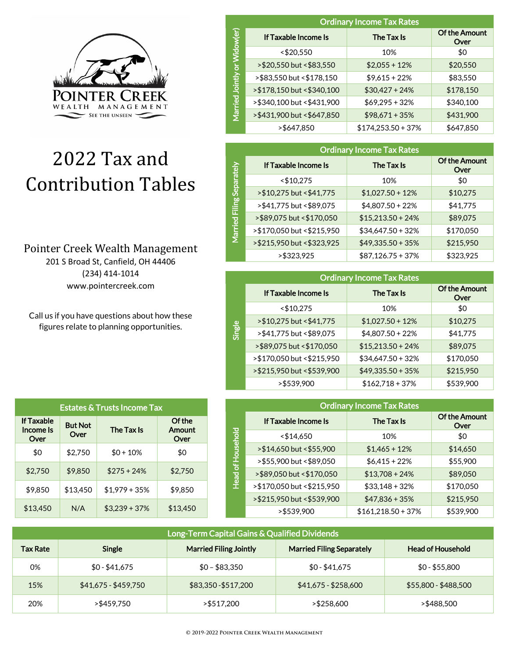

# 2022 Tax and Contribution Tables

## Pointer Creek Wealth Management

201 S Broad St, Canfield, OH 44406 (234) 414-1014 www.pointercreek.com

Call us if you have questions about how these figures relate to planning opportunities.

| <b>Estates &amp; Trusts Income Tax</b> |                        |                 |                          |
|----------------------------------------|------------------------|-----------------|--------------------------|
| <b>If Taxable</b><br>Income Is<br>Over | <b>But Not</b><br>Over | The Tax Is      | Of the<br>Amount<br>Over |
| \$0                                    | \$2,750                | $$0 + 10\%$     | \$0                      |
| \$2,750                                | \$9.850                | $$275 + 24\%$   | \$2,750                  |
| \$9.850                                | \$13.450               | $$1.979 + 35\%$ | \$9.850                  |
| \$13,450                               | N/A                    | $$3,239 + 37\%$ | \$13,450                 |

|                          | <b>Ordinary Income Tax Rates</b> |                      |                              |  |
|--------------------------|----------------------------------|----------------------|------------------------------|--|
| 6                        | If Taxable Income Is             | The Tax Is           | <b>Of the Amount</b><br>Over |  |
|                          | < \$20,550                       | 10%                  | \$0                          |  |
| $\overline{\mathsf{b}}$  | >\$20,550 but <\$83,550          | $$2,055 + 12\%$      | \$20,550                     |  |
|                          | >\$83,550 but <\$178,150         | $$9,615 + 22\%$      | \$83,550                     |  |
| <b>Jointly</b>           | > \$178,150 but < \$340,100      | $$30,427 + 24\%$     | \$178,150                    |  |
| <b>Pall</b>              | >\$340,100 but <\$431,900        | $$69,295 + 32\%$     | \$340,100                    |  |
| $\bar{\bar{\mathbb{E}}}$ | >\$431,900 but <\$647,850        | $$98,671 + 35\%$     | \$431,900                    |  |
|                          | >\$647,850                       | $$174,253.50 + 37\%$ | \$647,850                    |  |

|                | <b>Ordinary Income Tax Rates</b> |                     |                              |  |
|----------------|----------------------------------|---------------------|------------------------------|--|
|                | If Taxable Income Is             | The Tax Is          | <b>Of the Amount</b><br>Over |  |
| Separate       | $<$ \$10,275                     | 10%                 | \$0                          |  |
|                | > \$10,275 but < \$41,775        | $$1,027.50 + 12\%$  | \$10,275                     |  |
| Filing         | >\$41,775 but <\$89,075          | $$4,807.50 + 22\%$  | \$41,775                     |  |
| $\overline{8}$ | >\$89,075 but <\$170,050         | $$15,213.50 + 24\%$ | \$89,075                     |  |
| Marri          | > \$170,050 but < \$215,950      | $$34,647.50 + 32\%$ | \$170,050                    |  |
|                | >\$215,950 but <\$323,925        | $$49,335.50 + 35\%$ | \$215,950                    |  |
|                | >\$323,925                       | $$87,126.75+37%$    | \$323,925                    |  |

|        | <b>Ordinary Income Tax Rates</b> |                     |                       |  |
|--------|----------------------------------|---------------------|-----------------------|--|
|        | If Taxable Income Is             | The Tax Is          | Of the Amount<br>Over |  |
|        | $<$ \$10,275                     | 10%                 | \$0                   |  |
|        | > \$10,275 but < \$41,775        | $$1,027.50 + 12\%$  | \$10,275              |  |
| Single | >\$41,775 but <\$89,075          | $$4,807.50 + 22\%$  | \$41,775              |  |
|        | >\$89,075 but <\$170,050         | $$15,213.50 + 24\%$ | \$89,075              |  |
|        | >\$170,050 but <\$215,950        | $$34,647.50 + 32\%$ | \$170,050             |  |
|        | >\$215,950 but <\$539,900        | $$49,335.50 + 35\%$ | \$215,950             |  |
|        | >\$539,900                       | $$162,718+37%$      | \$539,900             |  |

|              | <b>Ordinary Income Tax Rates</b> |                      |                              |  |
|--------------|----------------------------------|----------------------|------------------------------|--|
|              | If Taxable Income Is             | The Tax Is           | <b>Of the Amount</b><br>Over |  |
|              | $<$ \$14,650                     | 10%                  | \$0                          |  |
|              | > \$14,650 but < \$55,900        | $$1,465 + 12\%$      | \$14,650                     |  |
| of Household | >\$55,900 but <\$89,050          | $$6,415 + 22\%$      | \$55,900                     |  |
|              | >\$89,050 but <\$170,050         | $$13,708 + 24\%$     | \$89,050                     |  |
| Head         | >\$170,050 but <\$215,950        | $$33,148 + 32\%$     | \$170,050                    |  |
|              | >\$215,950 but <\$539,900        | $$47,836 + 35\%$     | \$215,950                    |  |
|              | >\$539,900                       | $$161,218.50 + 37\%$ | \$539,900                    |  |

| Long-Term Capital Gains & Qualified Dividends \ |                      |                               |                                  |                          |
|-------------------------------------------------|----------------------|-------------------------------|----------------------------------|--------------------------|
| <b>Tax Rate</b>                                 | Single               | <b>Married Filing Jointly</b> | <b>Married Filing Separately</b> | <b>Head of Household</b> |
| 0%                                              | $$0 - $41.675$       | $$0 - $83.350$                | $$0 - $41,675$                   | $$0 - $55,800$           |
| 15%                                             | $$41,675 - $459,750$ | \$83,350 - \$517,200          | $$41,675 - $258,600$             | \$55,800 - \$488,500     |
| 20%                                             | >\$459.750           | >\$517.200                    | >\$258.600                       | >\$488.500               |